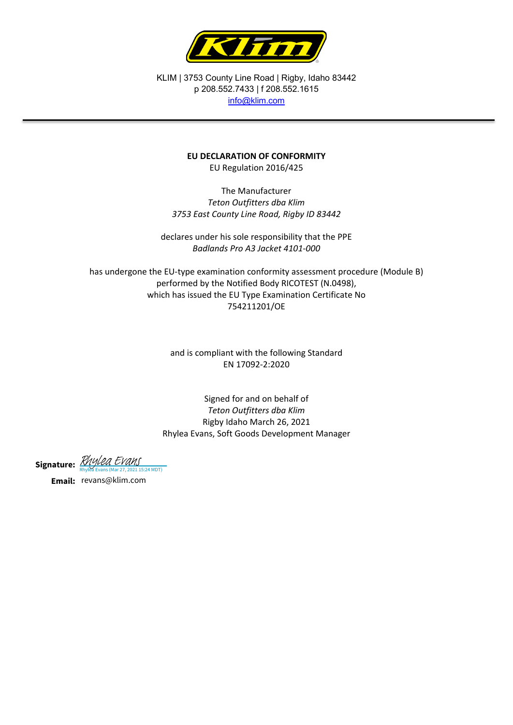

KLIM | 3753 County Line Road | Rigby, Idaho 83442 p 208.552.7433 | f 208.552.1615 [info@klim.com](mailto:info@klim.com)

## **EU DECLARATION OF CONFORMITY**

EU Regulation 2016/425

The Manufacturer *Teton Outfitters dba Klim 3753 East County Line Road, Rigby ID 83442*

declares under his sole responsibility that the PPE *Badlands Pro A3 Jacket 4101-000*

has undergone the EU-type examination conformity assessment procedure (Module B) performed by the Notified Body RICOTEST (N.0498), which has issued the EU Type Examination Certificate No 754211201/OE

> and is compliant with the following Standard EN 17092-2:2020

Signed for and on behalf of *Teton Outfitters dba Klim* Rigby Idaho March 26, 2021 Rhylea Evans, Soft Goods Development Manager

Signature: *[Rhylea Evans](https://na2.documents.adobe.com/verifier?tx=CBJCHBCAABAAZE3tQ8dwOKaH03zSfcYQne7rlJ_2WSZy)*<br>Rhylea Evans (Mar 27, 2021 15:24 MDT)

**Email:** revans@klim.com